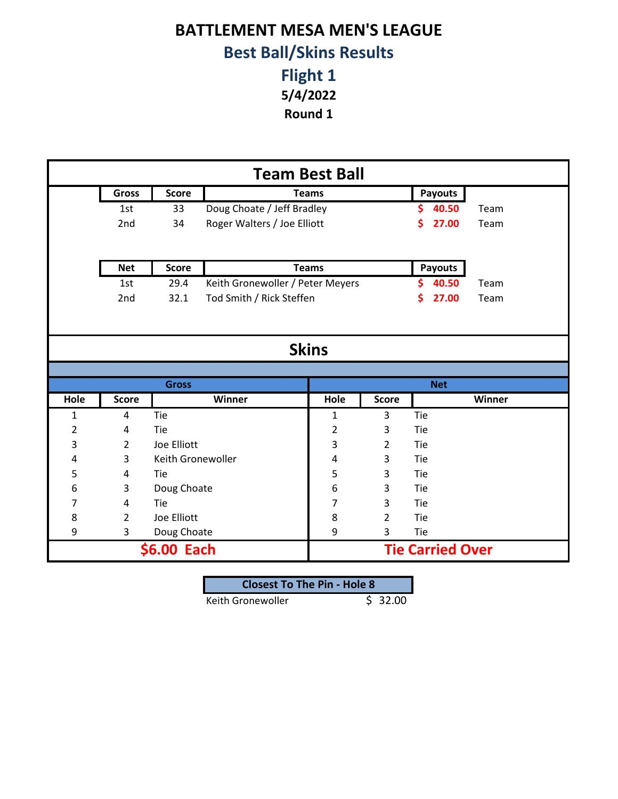## **BATTLEMENT MESA MEN'S LEAGUE Best Ball/Skins Results**

**Flight 1 5/4/2022**

**Round 1**

| <b>Team Best Ball</b> |                                   |                   |                                  |              |                |                         |       |        |
|-----------------------|-----------------------------------|-------------------|----------------------------------|--------------|----------------|-------------------------|-------|--------|
|                       | Gross                             | <b>Score</b>      | <b>Teams</b>                     |              |                | <b>Payouts</b>          |       |        |
|                       | 1st                               | 33                | Doug Choate / Jeff Bradley       |              |                | \$.                     | 40.50 | Team   |
|                       | 2nd                               | 34                | Roger Walters / Joe Elliott      |              |                | \$                      | 27.00 | Team   |
|                       |                                   |                   |                                  |              |                |                         |       |        |
|                       | <b>Net</b>                        | <b>Score</b>      |                                  | <b>Teams</b> |                | <b>Payouts</b>          |       |        |
|                       | 1st                               | 29.4              | Keith Gronewoller / Peter Meyers |              |                | S.                      | 40.50 | Team   |
|                       | 2nd                               | 32.1              | Tod Smith / Rick Steffen         |              |                | \$                      | 27.00 | Team   |
|                       |                                   |                   |                                  |              |                |                         |       |        |
|                       |                                   |                   |                                  |              |                |                         |       |        |
|                       | <b>Skins</b>                      |                   |                                  |              |                |                         |       |        |
|                       |                                   |                   |                                  |              |                |                         |       |        |
|                       |                                   | <b>Gross</b>      |                                  |              |                | <b>Net</b>              |       |        |
| Hole                  | <b>Score</b>                      |                   | Winner                           | Hole         | <b>Score</b>   |                         |       | Winner |
| 1                     | 4                                 | Tie               |                                  | 1            | 3              | Tie                     |       |        |
| $\overline{2}$        | 4                                 | Tie               |                                  | 2            | 3              | Tie                     |       |        |
| 3                     | $\overline{2}$                    | Joe Elliott       |                                  | 3            | $\overline{2}$ | Tie                     |       |        |
| 4                     | 3                                 | Keith Gronewoller |                                  | 4            | 3              | Tie                     |       |        |
| 5                     | 4                                 | Tie               |                                  | 5            | 3              | Tie                     |       |        |
| 6                     | 6<br>3<br>Doug Choate<br>3<br>Tie |                   |                                  |              |                |                         |       |        |
| 7                     | 4                                 | Tie               |                                  | 7            | 3              | Tie                     |       |        |
| 8                     | $\overline{2}$                    | Joe Elliott       |                                  | 8            | $\overline{2}$ | Tie                     |       |        |
| 9                     | 3                                 | Doug Choate       |                                  | 9            | 3              | Tie                     |       |        |
|                       | \$6.00 Each                       |                   |                                  |              |                | <b>Tie Carried Over</b> |       |        |

| <b>Closest To The Pin - Hole 8</b> |         |
|------------------------------------|---------|
| Keith Gronewoller                  | \$32.00 |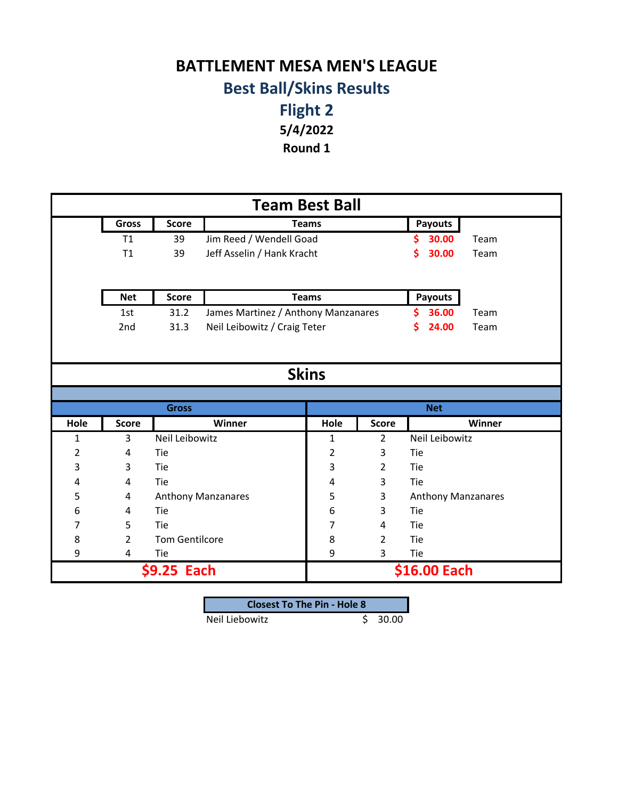## **BATTLEMENT MESA MEN'S LEAGUE Best Ball/Skins Results**

**Flight 2 5/4/2022**

**Round 1**

| <b>Team Best Ball</b> |                |                       |                                     |                |                |                    |        |  |
|-----------------------|----------------|-----------------------|-------------------------------------|----------------|----------------|--------------------|--------|--|
|                       | <b>Gross</b>   | <b>Score</b>          | <b>Teams</b>                        |                |                | <b>Payouts</b>     |        |  |
|                       | T1             | 39                    | Jim Reed / Wendell Goad             |                |                | 30.00<br>S         | Team   |  |
|                       | T1             | 39                    | Jeff Asselin / Hank Kracht          |                |                | \$<br>30.00        | Team   |  |
|                       |                |                       |                                     |                |                |                    |        |  |
|                       | <b>Net</b>     | <b>Score</b>          |                                     | <b>Teams</b>   |                | <b>Payouts</b>     |        |  |
|                       | 1st            | 31.2                  | James Martinez / Anthony Manzanares |                |                | \$<br>36.00        | Team   |  |
|                       | 2nd            | 31.3                  | Neil Leibowitz / Craig Teter        |                |                | \$<br>24.00        | Team   |  |
|                       |                |                       |                                     |                |                |                    |        |  |
|                       |                |                       |                                     |                |                |                    |        |  |
|                       | <b>Skins</b>   |                       |                                     |                |                |                    |        |  |
|                       |                |                       |                                     |                |                |                    |        |  |
|                       |                | <b>Gross</b>          |                                     |                |                | <b>Net</b>         |        |  |
| Hole                  | <b>Score</b>   |                       | Winner                              | Hole           | <b>Score</b>   |                    | Winner |  |
| $\mathbf{1}$          | 3              | Neil Leibowitz        |                                     | $\mathbf{1}$   | $\overline{2}$ | Neil Leibowitz     |        |  |
| $\overline{2}$        | 4              | Tie                   |                                     | $\overline{2}$ | 3              | Tie                |        |  |
| 3                     | 3              | Tie                   |                                     | 3              | $\overline{2}$ | Tie                |        |  |
| 4                     | 4              | Tie                   |                                     | 4              | 3              | Tie                |        |  |
| 5                     | 4              |                       | <b>Anthony Manzanares</b>           | 5              | 3              | Anthony Manzanares |        |  |
| 6                     | 4              | Tie                   |                                     | 6              | 3              | Tie                |        |  |
| 7                     | 5              | Tie                   |                                     | 7              | 4              | Tie                |        |  |
| 8                     | $\overline{2}$ | <b>Tom Gentilcore</b> |                                     | 8              | $\overline{2}$ | Tie                |        |  |
| 9                     | 4              | Tie                   |                                     | 9              | 3              | Tie                |        |  |
|                       | \$9.25 Each    |                       |                                     |                |                | \$16.00 Each       |        |  |

| <b>Closest To The Pin - Hole 8</b> |  |       |  |  |
|------------------------------------|--|-------|--|--|
| Neil Liebowitz                     |  | 30.00 |  |  |